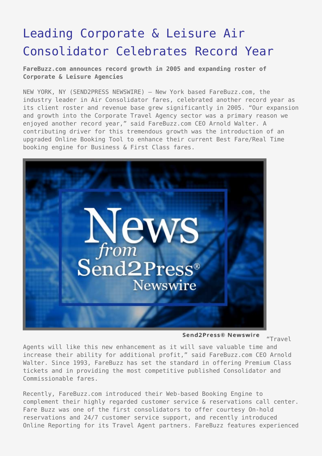## [Leading Corporate & Leisure Air](https://www.send2press.com/wire/2006-01-0103-003/) [Consolidator Celebrates Record Year](https://www.send2press.com/wire/2006-01-0103-003/)

**FareBuzz.com announces record growth in 2005 and expanding roster of Corporate & Leisure Agencies**

NEW YORK, NY (SEND2PRESS NEWSWIRE) — New York based FareBuzz.com, the industry leader in Air Consolidator fares, celebrated another record year as its client roster and revenue base grew significantly in 2005. "Our expansion and growth into the Corporate Travel Agency sector was a primary reason we enjoyed another record year," said FareBuzz.com CEO Arnold Walter. A contributing driver for this tremendous growth was the introduction of an upgraded Online Booking Tool to enhance their current Best Fare/Real Time booking engine for Business & First Class fares.



Send2Press® Newswire

"Travel

Agents will like this new enhancement as it will save valuable time and increase their ability for additional profit," said FareBuzz.com CEO Arnold Walter. Since 1993, FareBuzz has set the standard in offering Premium Class tickets and in providing the most competitive published Consolidator and Commissionable fares.

Recently, FareBuzz.com introduced their Web-based Booking Engine to complement their highly regarded customer service & reservations call center. Fare Buzz was one of the first consolidators to offer courtesy On-hold reservations and 24/7 customer service support, and recently introduced Online Reporting for its Travel Agent partners. FareBuzz features experienced